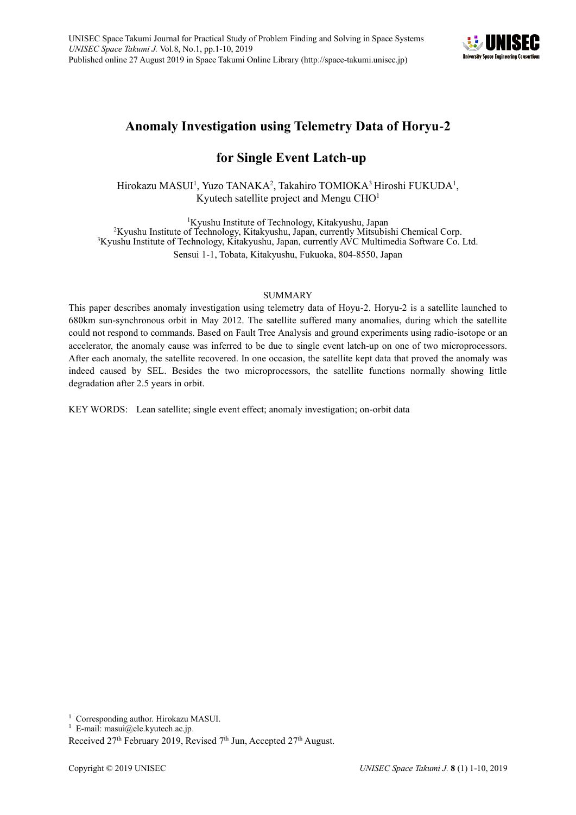

# **Anomaly Investigation using Telemetry Data of Horyu-2**

# **for Single Event Latch-up**

Hirokazu MASUI<sup>1</sup>, Yuzo TANAKA<sup>2</sup>, Takahiro TOMIOKA<sup>3</sup> Hiroshi FUKUDA<sup>1</sup>, Kyutech satellite project and Mengu  $CHO<sup>1</sup>$ 

Kyushu Institute of Technology, Kitakyushu, Japan Kyushu Institute of Technology, Kitakyushu, Japan, currently Mitsubishi Chemical Corp. Kyushu Institute of Technology, Kitakyushu, Japan, currently AVC Multimedia Software Co. Ltd. Sensui 1-1, Tobata, Kitakyushu, Fukuoka, 804-8550, Japan

# SUMMARY

This paper describes anomaly investigation using telemetry data of Hoyu-2. Horyu-2 is a satellite launched to 680km sun-synchronous orbit in May 2012. The satellite suffered many anomalies, during which the satellite could not respond to commands. Based on Fault Tree Analysis and ground experiments using radio-isotope or an accelerator, the anomaly cause was inferred to be due to single event latch-up on one of two microprocessors. After each anomaly, the satellite recovered. In one occasion, the satellite kept data that proved the anomaly was indeed caused by SEL. Besides the two microprocessors, the satellite functions normally showing little degradation after 2.5 years in orbit.

KEY WORDS: Lean satellite; single event effect; anomaly investigation; on-orbit data

<sup>1</sup> Corresponding author. Hirokazu MASUI.

<sup>&</sup>lt;sup>1</sup> E-mail: masui@ele.kyutech.ac.jp.

Received  $27<sup>th</sup>$  February 2019, Revised  $7<sup>th</sup>$  Jun, Accepted  $27<sup>th</sup>$  August.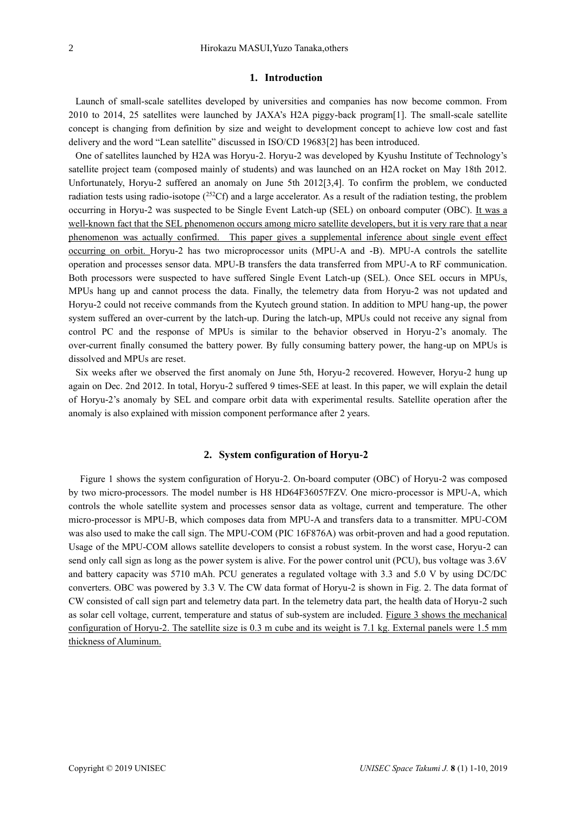# **1. Introduction**

Launch of small-scale satellites developed by universities and companies has now become common. From 2010 to 2014, 25 satellites were launched by JAXA's H2A piggy-back program[1]. The small-scale satellite concept is changing from definition by size and weight to development concept to achieve low cost and fast delivery and the word "Lean satellite" discussed in ISO/CD 19683[2] has been introduced.

One of satellites launched by H2A was Horyu-2. Horyu-2 was developed by Kyushu Institute of Technology's satellite project team (composed mainly of students) and was launched on an H2A rocket on May 18th 2012. Unfortunately, Horyu-2 suffered an anomaly on June 5th 2012[3,4]. To confirm the problem, we conducted radiation tests using radio-isotope  $(^{252}Cf)$  and a large accelerator. As a result of the radiation testing, the problem occurring in Horyu-2 was suspected to be Single Event Latch-up (SEL) on onboard computer (OBC). It was a well-known fact that the SEL phenomenon occurs among micro satellite developers, but it is very rare that a near phenomenon was actually confirmed. This paper gives a supplemental inference about single event effect occurring on orbit. Horyu-2 has two microprocessor units (MPU-A and -B). MPU-A controls the satellite operation and processes sensor data. MPU-B transfers the data transferred from MPU-A to RF communication. Both processors were suspected to have suffered Single Event Latch-up (SEL). Once SEL occurs in MPUs, MPUs hang up and cannot process the data. Finally, the telemetry data from Horyu-2 was not updated and Horyu-2 could not receive commands from the Kyutech ground station. In addition to MPU hang-up, the power system suffered an over-current by the latch-up. During the latch-up, MPUs could not receive any signal from control PC and the response of MPUs is similar to the behavior observed in Horyu-2's anomaly. The over-current finally consumed the battery power. By fully consuming battery power, the hang-up on MPUs is dissolved and MPUs are reset.

Six weeks after we observed the first anomaly on June 5th, Horyu-2 recovered. However, Horyu-2 hung up again on Dec. 2nd 2012. In total, Horyu-2 suffered 9 times-SEE at least. In this paper, we will explain the detail of Horyu-2's anomaly by SEL and compare orbit data with experimental results. Satellite operation after the anomaly is also explained with mission component performance after 2 years.

## **2. System configuration of Horyu-2**

Figure 1 shows the system configuration of Horyu-2. On-board computer (OBC) of Horyu-2 was composed by two micro-processors. The model number is H8 HD64F36057FZV. One micro-processor is MPU-A, which controls the whole satellite system and processes sensor data as voltage, current and temperature. The other micro-processor is MPU-B, which composes data from MPU-A and transfers data to a transmitter. MPU-COM was also used to make the call sign. The MPU-COM (PIC 16F876A) was orbit-proven and had a good reputation. Usage of the MPU-COM allows satellite developers to consist a robust system. In the worst case, Horyu-2 can send only call sign as long as the power system is alive. For the power control unit (PCU), bus voltage was 3.6V and battery capacity was 5710 mAh. PCU generates a regulated voltage with 3.3 and 5.0 V by using DC/DC converters. OBC was powered by 3.3 V. The CW data format of Horyu-2 is shown in Fig. 2. The data format of CW consisted of call sign part and telemetry data part. In the telemetry data part, the health data of Horyu-2 such as solar cell voltage, current, temperature and status of sub-system are included. Figure 3 shows the mechanical configuration of Horyu-2. The satellite size is 0.3 m cube and its weight is 7.1 kg. External panels were 1.5 mm thickness of Aluminum.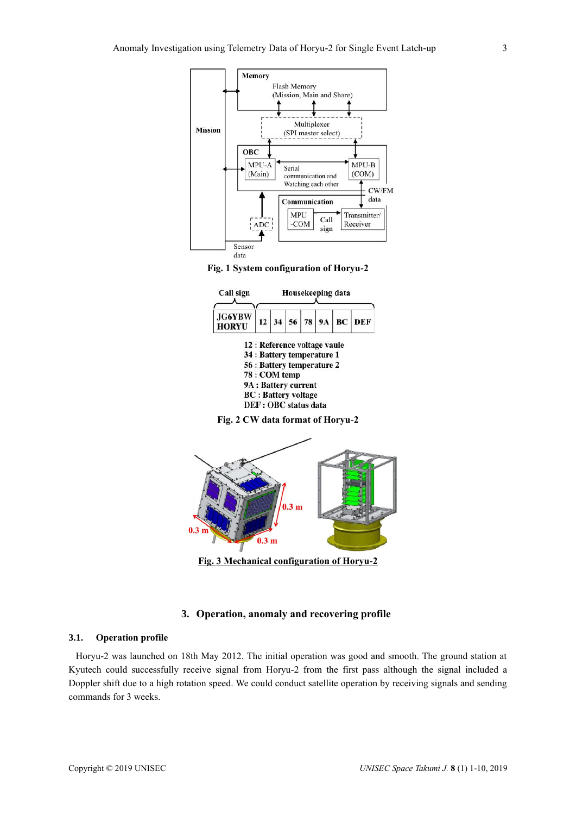







# **3. Operation, anomaly and recovering profile**

# **3.1. Operation profile**

Horyu-2 was launched on 18th May 2012. The initial operation was good and smooth. The ground station at Kyutech could successfully receive signal from Horyu-2 from the first pass although the signal included a Doppler shift due to a high rotation speed. We could conduct satellite operation by receiving signals and sending commands for 3 weeks.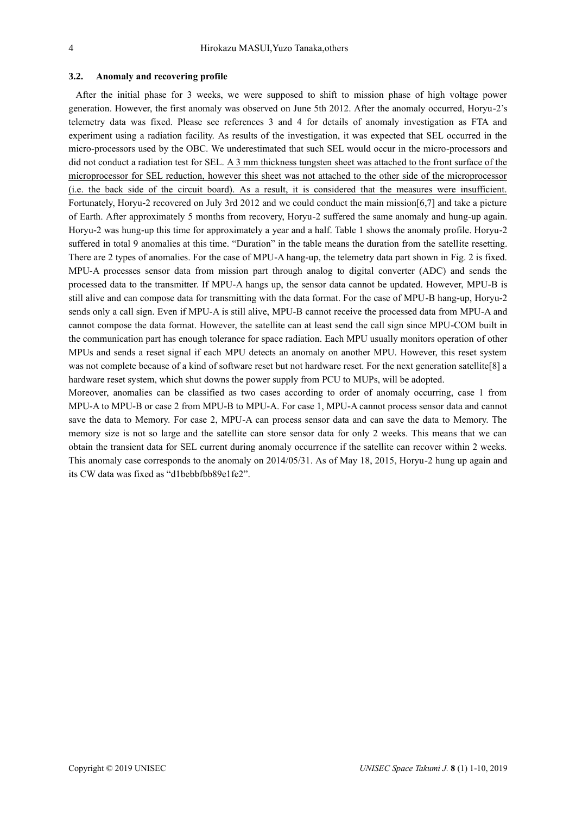## **3.2. Anomaly and recovering profile**

After the initial phase for 3 weeks, we were supposed to shift to mission phase of high voltage power generation. However, the first anomaly was observed on June 5th 2012. After the anomaly occurred, Horyu-2's telemetry data was fixed. Please see references 3 and 4 for details of anomaly investigation as FTA and experiment using a radiation facility. As results of the investigation, it was expected that SEL occurred in the micro-processors used by the OBC. We underestimated that such SEL would occur in the micro-processors and did not conduct a radiation test for SEL. A 3 mm thickness tungsten sheet was attached to the front surface of the microprocessor for SEL reduction, however this sheet was not attached to the other side of the microprocessor (i.e. the back side of the circuit board). As a result, it is considered that the measures were insufficient. Fortunately, Horyu-2 recovered on July 3rd 2012 and we could conduct the main mission[6,7] and take a picture of Earth. After approximately 5 months from recovery, Horyu-2 suffered the same anomaly and hung-up again. Horyu-2 was hung-up this time for approximately a year and a half. Table 1 shows the anomaly profile. Horyu-2 suffered in total 9 anomalies at this time. "Duration" in the table means the duration from the satellite resetting. There are 2 types of anomalies. For the case of MPU-A hang-up, the telemetry data part shown in Fig. 2 is fixed. MPU-A processes sensor data from mission part through analog to digital converter (ADC) and sends the processed data to the transmitter. If MPU-A hangs up, the sensor data cannot be updated. However, MPU-B is still alive and can compose data for transmitting with the data format. For the case of MPU-B hang-up, Horyu-2 sends only a call sign. Even if MPU-A is still alive, MPU-B cannot receive the processed data from MPU-A and cannot compose the data format. However, the satellite can at least send the call sign since MPU-COM built in the communication part has enough tolerance for space radiation. Each MPU usually monitors operation of other MPUs and sends a reset signal if each MPU detects an anomaly on another MPU. However, this reset system was not complete because of a kind of software reset but not hardware reset. For the next generation satellite[8] a hardware reset system, which shut downs the power supply from PCU to MUPs, will be adopted.

Moreover, anomalies can be classified as two cases according to order of anomaly occurring, case 1 from MPU-A to MPU-B or case 2 from MPU-B to MPU-A. For case 1, MPU-A cannot process sensor data and cannot save the data to Memory. For case 2, MPU-A can process sensor data and can save the data to Memory. The memory size is not so large and the satellite can store sensor data for only 2 weeks. This means that we can obtain the transient data for SEL current during anomaly occurrence if the satellite can recover within 2 weeks. This anomaly case corresponds to the anomaly on 2014/05/31. As of May 18, 2015, Horyu-2 hung up again and its CW data was fixed as "d1bebbfbb89e1fe2".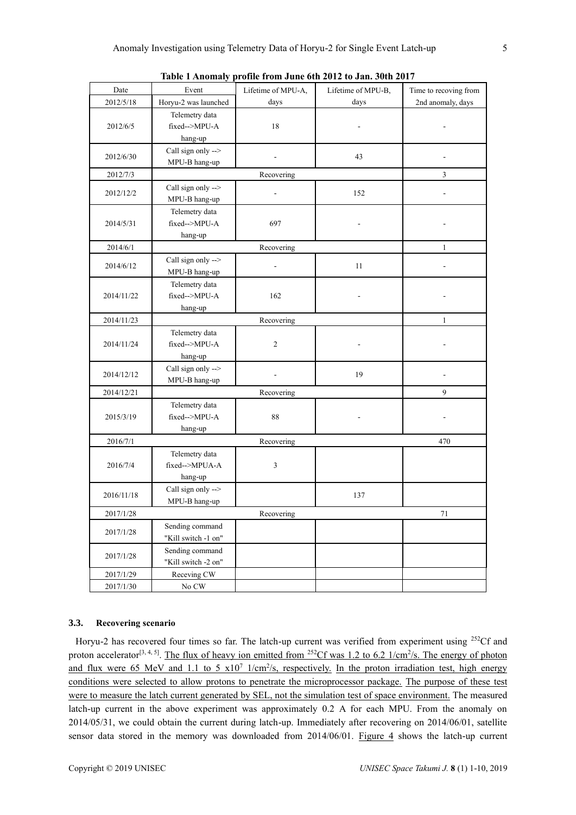| Date       | Event                | Lifetime of MPU-A,       | Lifetime of MPU-B, | Time to recoving from |
|------------|----------------------|--------------------------|--------------------|-----------------------|
| 2012/5/18  | Horyu-2 was launched | days                     | days               | 2nd anomaly, days     |
| 2012/6/5   | Telemetry data       |                          |                    |                       |
|            | fixed-->MPU-A        | 18                       |                    |                       |
|            | hang-up              |                          |                    |                       |
| 2012/6/30  | Call sign only -->   |                          |                    |                       |
|            | MPU-B hang-up        |                          | 43                 |                       |
| 2012/7/3   |                      | Recovering               |                    | $\overline{3}$        |
| 2012/12/2  | Call sign only -->   |                          | 152                |                       |
|            | MPU-B hang-up        |                          |                    |                       |
| 2014/5/31  | Telemetry data       | 697                      |                    |                       |
|            | fixed-->MPU-A        |                          |                    |                       |
|            | hang-up              |                          |                    |                       |
| 2014/6/1   |                      | Recovering               |                    | $\mathbf{1}$          |
| 2014/6/12  | Call sign only -->   | $\overline{\phantom{a}}$ | 11                 |                       |
|            | MPU-B hang-up        |                          |                    |                       |
| 2014/11/22 | Telemetry data       | 162                      |                    |                       |
|            | fixed-->MPU-A        |                          |                    |                       |
|            | hang-up              |                          |                    |                       |
| 2014/11/23 |                      | Recovering               |                    | 1                     |
| 2014/11/24 | Telemetry data       |                          |                    |                       |
|            | fixed-->MPU-A        | $\overline{2}$           |                    |                       |
|            | hang-up              |                          |                    |                       |
| 2014/12/12 | Call sign only -->   | 19                       |                    |                       |
|            | MPU-B hang-up        |                          |                    |                       |
| 2014/12/21 |                      | Recovering               |                    | 9                     |
| 2015/3/19  | Telemetry data       | 88                       |                    |                       |
|            | fixed-->MPU-A        |                          |                    |                       |
|            | hang-up              |                          |                    |                       |
| 2016/7/1   |                      | Recovering               |                    | 470                   |
| 2016/7/4   | Telemetry data       |                          |                    |                       |
|            | fixed-->MPUA-A       | 3                        |                    |                       |
|            | hang-up              |                          |                    |                       |
| 2016/11/18 | Call sign only -->   |                          | 137                |                       |
|            | MPU-B hang-up        |                          |                    |                       |
| 2017/1/28  |                      | Recovering               |                    | 71                    |
| 2017/1/28  | Sending command      |                          |                    |                       |
|            | "Kill switch -1 on"  |                          |                    |                       |
| 2017/1/28  | Sending command      |                          |                    |                       |
|            | "Kill switch -2 on"  |                          |                    |                       |
| 2017/1/29  | Receving CW          |                          |                    |                       |
| 2017/1/30  | No ${\rm\bf CW}$     |                          |                    |                       |

**Table 1 Anomaly profile from June 6th 2012 to Jan. 30th 2017**

# **3.3. Recovering scenario**

Horyu-2 has recovered four times so far. The latch-up current was verified from experiment using <sup>252</sup>Cf and proton accelerator<sup>[3, 4, 5]</sup>. The flux of heavy ion emitted from <sup>252</sup>Cf was 1.2 to 6.2 1/cm<sup>2</sup>/s. The energy of photon and flux were 65 MeV and 1.1 to 5  $x10^7$  1/cm<sup>2</sup>/s, respectively. In the proton irradiation test, high energy conditions were selected to allow protons to penetrate the microprocessor package. The purpose of these test were to measure the latch current generated by SEL, not the simulation test of space environment. The measured latch-up current in the above experiment was approximately 0.2 A for each MPU. From the anomaly on 2014/05/31, we could obtain the current during latch-up. Immediately after recovering on 2014/06/01, satellite sensor data stored in the memory was downloaded from 2014/06/01. Figure 4 shows the latch-up current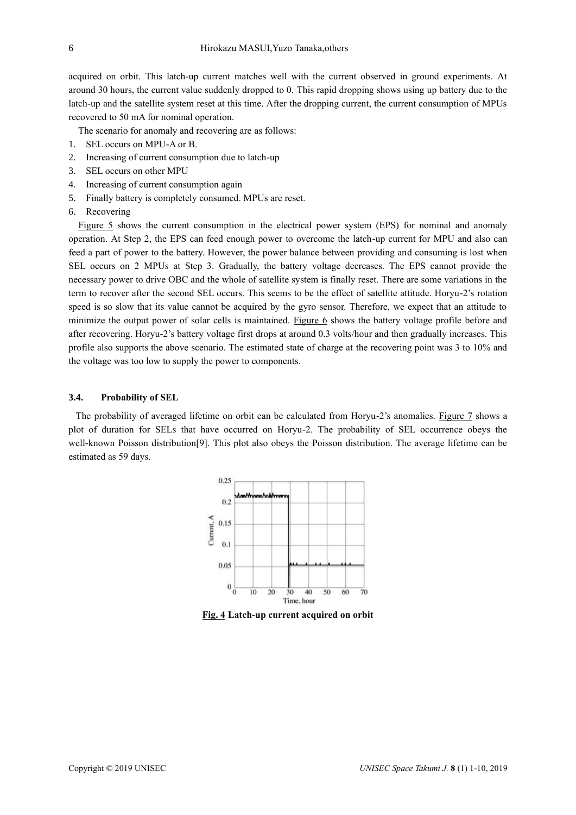acquired on orbit. This latch-up current matches well with the current observed in ground experiments. At around 30 hours, the current value suddenly dropped to 0. This rapid dropping shows using up battery due to the latch-up and the satellite system reset at this time. After the dropping current, the current consumption of MPUs recovered to 50 mA for nominal operation.

The scenario for anomaly and recovering are as follows:

- 1. SEL occurs on MPU-A or B.
- 2. Increasing of current consumption due to latch-up
- 3. SEL occurs on other MPU
- 4. Increasing of current consumption again
- 5. Finally battery is completely consumed. MPUs are reset.
- 6. Recovering

Figure 5 shows the current consumption in the electrical power system (EPS) for nominal and anomaly operation. At Step 2, the EPS can feed enough power to overcome the latch-up current for MPU and also can feed a part of power to the battery. However, the power balance between providing and consuming is lost when SEL occurs on 2 MPUs at Step 3. Gradually, the battery voltage decreases. The EPS cannot provide the necessary power to drive OBC and the whole of satellite system is finally reset. There are some variations in the term to recover after the second SEL occurs. This seems to be the effect of satellite attitude. Horyu-2's rotation speed is so slow that its value cannot be acquired by the gyro sensor. Therefore, we expect that an attitude to minimize the output power of solar cells is maintained. Figure 6 shows the battery voltage profile before and after recovering. Horyu-2's battery voltage first drops at around 0.3 volts/hour and then gradually increases. This profile also supports the above scenario. The estimated state of charge at the recovering point was 3 to 10% and the voltage was too low to supply the power to components.

# **3.4. Probability of SEL**

The probability of averaged lifetime on orbit can be calculated from Horyu-2's anomalies. Figure 7 shows a plot of duration for SELs that have occurred on Horyu-2. The probability of SEL occurrence obeys the well-known Poisson distribution[9]. This plot also obeys the Poisson distribution. The average lifetime can be estimated as 59 days.



**Fig. 4 Latch-up current acquired on orbit**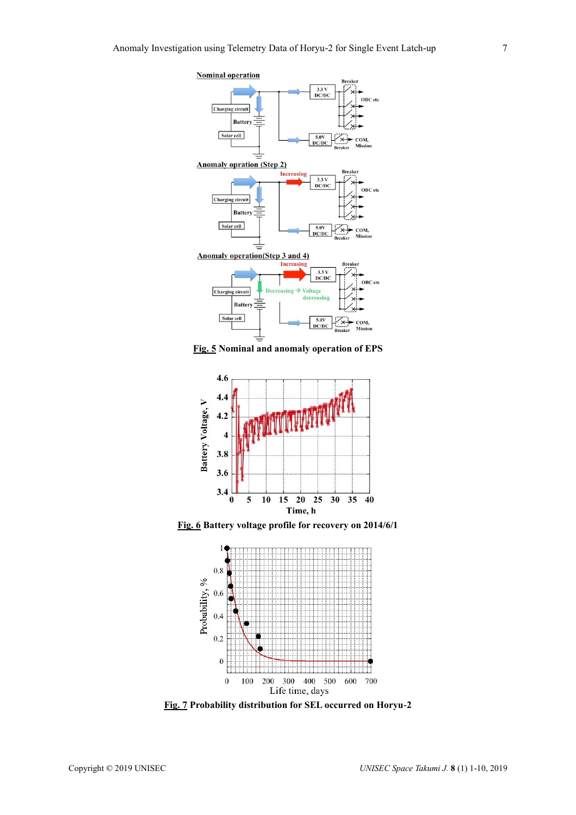

**Fig. 5 Nominal and anomaly operation of EPS** 



**Fig. 6 Battery voltage profile for recovery on 2014/6/1**



**Fig. 7 Probability distribution for SEL occurred on Horyu-2**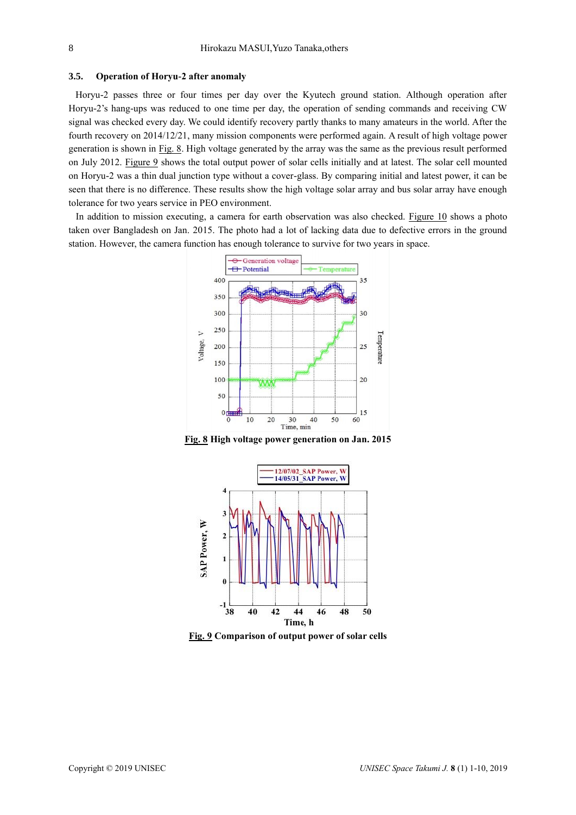### **3.5. Operation of Horyu-2 after anomaly**

Horyu-2 passes three or four times per day over the Kyutech ground station. Although operation after Horyu-2's hang-ups was reduced to one time per day, the operation of sending commands and receiving CW signal was checked every day. We could identify recovery partly thanks to many amateurs in the world. After the fourth recovery on 2014/12/21, many mission components were performed again. A result of high voltage power generation is shown in Fig. 8. High voltage generated by the array was the same as the previous result performed on July 2012. Figure 9 shows the total output power of solar cells initially and at latest. The solar cell mounted on Horyu-2 was a thin dual junction type without a cover-glass. By comparing initial and latest power, it can be seen that there is no difference. These results show the high voltage solar array and bus solar array have enough tolerance for two years service in PEO environment.

In addition to mission executing, a camera for earth observation was also checked. Figure 10 shows a photo taken over Bangladesh on Jan. 2015. The photo had a lot of lacking data due to defective errors in the ground station. However, the camera function has enough tolerance to survive for two years in space.



**Fig. 8 High voltage power generation on Jan. 2015**



**Fig. 9 Comparison of output power of solar cells**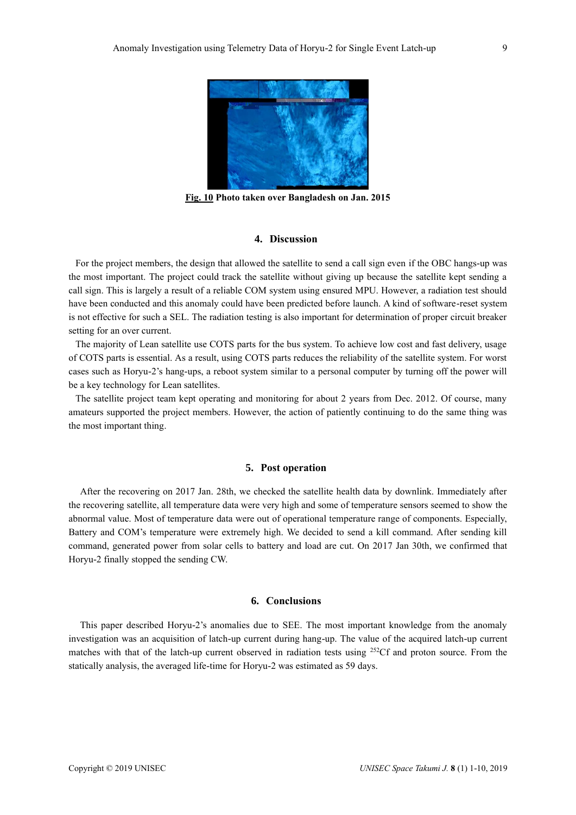

**Fig. 10 Photo taken over Bangladesh on Jan. 2015**

# **4. Discussion**

For the project members, the design that allowed the satellite to send a call sign even if the OBC hangs-up was the most important. The project could track the satellite without giving up because the satellite kept sending a call sign. This is largely a result of a reliable COM system using ensured MPU. However, a radiation test should have been conducted and this anomaly could have been predicted before launch. A kind of software-reset system is not effective for such a SEL. The radiation testing is also important for determination of proper circuit breaker setting for an over current.

The majority of Lean satellite use COTS parts for the bus system. To achieve low cost and fast delivery, usage of COTS parts is essential. As a result, using COTS parts reduces the reliability of the satellite system. For worst cases such as Horyu-2's hang-ups, a reboot system similar to a personal computer by turning off the power will be a key technology for Lean satellites.

The satellite project team kept operating and monitoring for about 2 years from Dec. 2012. Of course, many amateurs supported the project members. However, the action of patiently continuing to do the same thing was the most important thing.

# **5. Post operation**

After the recovering on 2017 Jan. 28th, we checked the satellite health data by downlink. Immediately after the recovering satellite, all temperature data were very high and some of temperature sensors seemed to show the abnormal value. Most of temperature data were out of operational temperature range of components. Especially, Battery and COM's temperature were extremely high. We decided to send a kill command. After sending kill command, generated power from solar cells to battery and load are cut. On 2017 Jan 30th, we confirmed that Horyu-2 finally stopped the sending CW.

# **6. Conclusions**

This paper described Horyu-2's anomalies due to SEE. The most important knowledge from the anomaly investigation was an acquisition of latch-up current during hang-up. The value of the acquired latch-up current matches with that of the latch-up current observed in radiation tests using <sup>252</sup>Cf and proton source. From the statically analysis, the averaged life-time for Horyu-2 was estimated as 59 days.